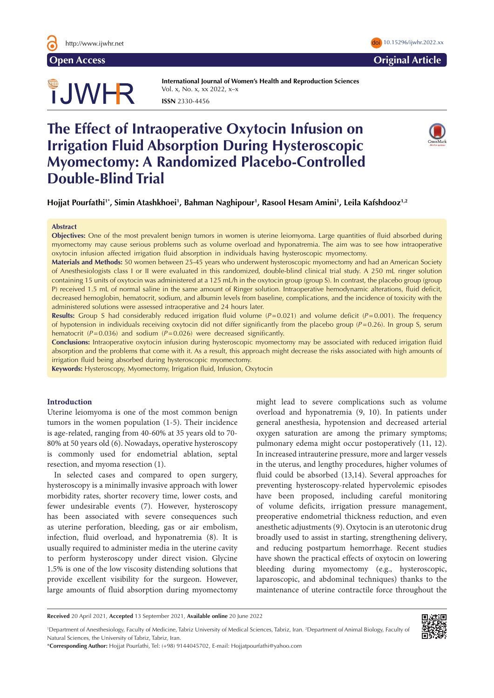

**Open Access Original Article** 

# TJWHR

**International Journal of Women's Health and Reproduction Sciences**  Vol. x, No. x, xx 2022, x–x **ISSN** 2330-4456

# **The Effect of Intraoperative Oxytocin Infusion on Irrigation Fluid Absorption During Hysteroscopic Myomectomy: A Randomized Placebo-Controlled Double-Blind Trial**



**Hojjat Pourfathi1\*, Simin Atashkhoei1 , Bahman Naghipour1 , Rasool Hesam Amini1 , Leila Kafshdooz1,2**

#### **Abstract**

**Objectives:** One of the most prevalent benign tumors in women is uterine leiomyoma. Large quantities of fluid absorbed during myomectomy may cause serious problems such as volume overload and hyponatremia. The aim was to see how intraoperative oxytocin infusion affected irrigation fluid absorption in individuals having hysteroscopic myomectomy.

**Materials and Methods:** 50 women between 25-45 years who underwent hysteroscopic myomectomy and had an American Society of Anesthesiologists class I or II were evaluated in this randomized, double-blind clinical trial study. A 250 mL ringer solution containing 15 units of oxytocin was administered at a 125 mL/h in the oxytocin group (group S). In contrast, the placebo group (group P) received 1.5 mL of normal saline in the same amount of Ringer solution. Intraoperative hemodynamic alterations, fluid deficit, decreased hemoglobin, hematocrit, sodium, and albumin levels from baseline, complications, and the incidence of toxicity with the administered solutions were assessed intraoperative and 24 hours later.

**Results:** Group S had considerably reduced irrigation fluid volume (*P*=0.021) and volume deficit (*P*=0.001). The frequency of hypotension in individuals receiving oxytocin did not differ significantly from the placebo group (*P*=0.26). In group S, serum hematocrit ( $P=0.036$ ) and sodium ( $P=0.026$ ) were decreased significantly.

**Conclusions:** Intraoperative oxytocin infusion during hysteroscopic myomectomy may be associated with reduced irrigation fluid absorption and the problems that come with it. As a result, this approach might decrease the risks associated with high amounts of irrigation fluid being absorbed during hysteroscopic myomectomy.

**Keywords:** Hysteroscopy, Myomectomy, Irrigation fluid, Infusion, Oxytocin

#### **Introduction**

Uterine leiomyoma is one of the most common benign tumors in the women population (1-5). Their incidence is age-related, ranging from 40-60% at 35 years old to 70- 80% at 50 years old (6). Nowadays, operative hysteroscopy is commonly used for endometrial ablation, septal resection, and myoma resection (1).

In selected cases and compared to open surgery, hysteroscopy is a minimally invasive approach with lower morbidity rates, shorter recovery time, lower costs, and fewer undesirable events (7). However, hysteroscopy has been associated with severe consequences such as uterine perforation, bleeding, gas or air embolism, infection, fluid overload, and hyponatremia (8). It is usually required to administer media in the uterine cavity to perform hysteroscopy under direct vision. Glycine 1.5% is one of the low viscosity distending solutions that provide excellent visibility for the surgeon. However, large amounts of fluid absorption during myomectomy

might lead to severe complications such as volume overload and hyponatremia (9, 10). In patients under general anesthesia, hypotension and decreased arterial oxygen saturation are among the primary symptoms; pulmonary edema might occur postoperatively (11, 12). In increased intrauterine pressure, more and larger vessels in the uterus, and lengthy procedures, higher volumes of fluid could be absorbed (13,14). Several approaches for preventing hysteroscopy-related hypervolemic episodes have been proposed, including careful monitoring of volume deficits, irrigation pressure management, preoperative endometrial thickness reduction, and even anesthetic adjustments (9). Oxytocin is an uterotonic drug broadly used to assist in starting, strengthening delivery, and reducing postpartum hemorrhage. Recent studies have shown the practical effects of oxytocin on lowering bleeding during myomectomy (e.g., hysteroscopic, laparoscopic, and abdominal techniques) thanks to the maintenance of uterine contractile force throughout the

**Received** 20 April 2021, **Accepted** 13 September 2021, **Available online** 20 June 2022

1 Department of Anesthesiology, Faculty of Medicine, Tabriz University of Medical Sciences, Tabriz, Iran. 2 Department of Animal Biology, Faculty of Natural Sciences, the University of Tabriz, Tabriz, Iran.



<sup>\*</sup>**Corresponding Author:** Hojjat Pourfathi, Tel: (+98) 9144045702, E-mail: Hojjatpourfathi@yahoo.com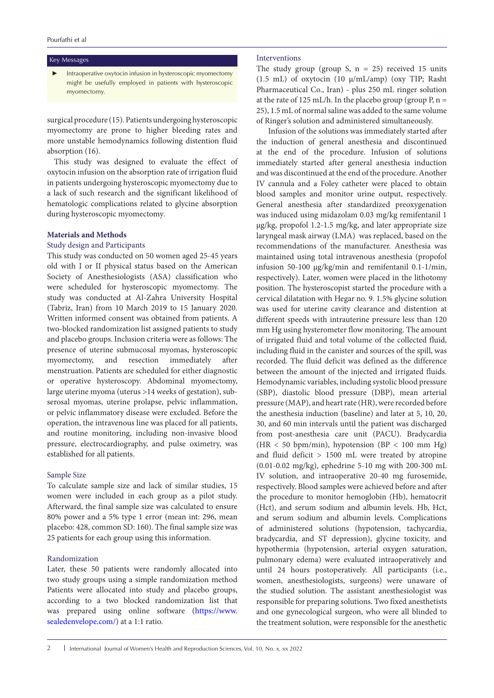#### Key Messages

Intraoperative oxytocin infusion in hysteroscopic myomectomy might be usefully employed in patients with hysteroscopic myomectomy.

surgical procedure (15). Patients undergoing hysteroscopic myomectomy are prone to higher bleeding rates and more unstable hemodynamics following distention fluid absorption (16).

This study was designed to evaluate the effect of oxytocin infusion on the absorption rate of irrigation fluid in patients undergoing hysteroscopic myomectomy due to a lack of such research and the significant likelihood of hematologic complications related to glycine absorption during hysteroscopic myomectomy.

# **Materials and Methods**

# Study design and Participants

This study was conducted on 50 women aged 25-45 years old with I or II physical status based on the American Society of Anesthesiologists (ASA) classification who were scheduled for hysteroscopic myomectomy. The study was conducted at Al-Zahra University Hospital (Tabriz, Iran) from 10 March 2019 to 15 January 2020. Written informed consent was obtained from patients. A two-blocked randomization list assigned patients to study and placebo groups. Inclusion criteria were as follows: The presence of uterine submucosal myomas, hysteroscopic myomectomy, and resection immediately after menstruation. Patients are scheduled for either diagnostic or operative hysteroscopy. Abdominal myomectomy, large uterine myoma (uterus >14 weeks of gestation), subserosal myomas, uterine prolapse, pelvic inflammation, or pelvic inflammatory disease were excluded. Before the operation, the intravenous line was placed for all patients, and routine monitoring, including non-invasive blood pressure, electrocardiography, and pulse oximetry, was established for all patients.

# Sample Size

To calculate sample size and lack of similar studies, 15 women were included in each group as a pilot study. Afterward, the final sample size was calculated to ensure 80% power and a 5% type 1 error (mean int: 296, mean placebo: 428, common SD: 160). The final sample size was 25 patients for each group using this information.

# Randomization

Later, these 50 patients were randomly allocated into two study groups using a simple randomization method Patients were allocated into study and placebo groups, according to a two blocked randomization list that was prepared using online software [\(https://www.](https://www.sealedenvelope.com/) [sealedenvelope.com/\)](https://www.sealedenvelope.com/) at a 1:1 ratio.

# Interventions

The study group (group S,  $n = 25$ ) received 15 units (1.5 mL) of oxytocin (10  $\mu$ /mL/amp) (oxy TIP; Rasht Pharmaceutical Co., Iran) - plus 250 mL ringer solution at the rate of 125 mL/h. In the placebo group (group P,  $n =$ 25), 1.5 mL of normal saline was added to the same volume of Ringer's solution and administered simultaneously.

Infusion of the solutions was immediately started after the induction of general anesthesia and discontinued at the end of the procedure. Infusion of solutions immediately started after general anesthesia induction and was discontinued at the end of the procedure. Another IV cannula and a Foley catheter were placed to obtain blood samples and monitor urine output, respectively. General anesthesia after standardized preoxygenation was induced using midazolam 0.03 mg/kg remifentanil 1 µg/kg, propofol 1.2-1.5 mg/kg, and later appropriate size laryngeal mask airway (LMA) was replaced, based on the recommendations of the manufacturer. Anesthesia was maintained using total intravenous anesthesia (propofol infusion 50-100 µg/kg/min and remifentanil 0.1-1/min, respectively). Later, women were placed in the lithotomy position. The hysteroscopist started the procedure with a cervical dilatation with Hegar no. 9. 1.5% glycine solution was used for uterine cavity clearance and distention at different speeds with intrauterine pressure less than 120 mm Hg using hysterometer flow monitoring. The amount of irrigated fluid and total volume of the collected fluid, including fluid in the canister and sources of the spill, was recorded. The fluid deficit was defined as the difference between the amount of the injected and irrigated fluids. Hemodynamic variables, including systolic blood pressure (SBP), diastolic blood pressure (DBP), mean arterial pressure (MAP), and heart rate (HR), were recorded before the anesthesia induction (baseline) and later at 5, 10, 20, 30, and 60 min intervals until the patient was discharged from post-anesthesia care unit (PACU). Bradycardia  $(HR < 50$  bpm/min), hypotension  $(BP < 100$  mm Hg) and fluid deficit > 1500 mL were treated by atropine (0.01-0.02 mg/kg), ephedrine 5-10 mg with 200-300 mL IV solution, and intraoperative 20-40 mg furosemide, respectively. Blood samples were achieved before and after the procedure to monitor hemoglobin (Hb), hematocrit (Hct), and serum sodium and albumin levels. Hb, Hct, and serum sodium and albumin levels. Complications of administered solutions (hypotension, tachycardia, bradycardia, and ST depression), glycine toxicity, and hypothermia (hypotension, arterial oxygen saturation, pulmonary edema) were evaluated intraoperatively and until 24 hours postoperatively. All participants (i.e., women, anesthesiologists, surgeons) were unaware of the studied solution. The assistant anesthesiologist was responsible for preparing solutions. Two fixed anesthetists and one gynecological surgeon, who were all blinded to the treatment solution, were responsible for the anesthetic

2 | International Journal of Women's Health and Reproduction Sciences, Vol. 10, No. x, xx 2022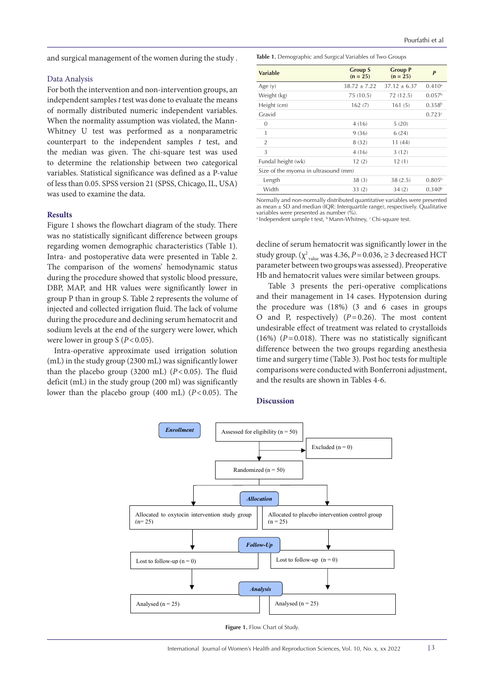and surgical management of the women during the study .

#### Data Analysis

For both the intervention and non-intervention groups, an independent samples *t* test was done to evaluate the means of normally distributed numeric independent variables. When the normality assumption was violated, the Mann-Whitney U test was performed as a nonparametric counterpart to the independent samples *t* test, and the median was given. The chi-square test was used to determine the relationship between two categorical variables. Statistical significance was defined as a P-value of less than 0.05. SPSS version 21 (SPSS, Chicago, IL, USA) was used to examine the data.

# **Results**

Figure 1 shows the flowchart diagram of the study. There was no statistically significant difference between groups regarding women demographic characteristics (Table 1). Intra- and postoperative data were presented in Table 2. The comparison of the womens' hemodynamic status during the procedure showed that systolic blood pressure, DBP, MAP, and HR values were significantly lower in group P than in group S. Table 2 represents the volume of injected and collected irrigation fluid. The lack of volume during the procedure and declining serum hematocrit and sodium levels at the end of the surgery were lower, which were lower in group S ( $P < 0.05$ ).

Intra-operative approximate used irrigation solution (mL) in the study group (2300 mL) was significantly lower than the placebo group (3200 mL)  $(P<0.05)$ . The fluid deficit (mL) in the study group (200 ml) was significantly lower than the placebo group (400 mL) (*P*<0.05). The **Table 1.** Demographic and Surgical Variables of Two Groups

| <b>Variable</b>                      | <b>Group S</b><br>$(n = 25)$ | <b>Group P</b><br>$(n = 25)$ | P                    |
|--------------------------------------|------------------------------|------------------------------|----------------------|
| Age $(y)$                            | $38.72 + 7.22$               | $37.12 + 6.37$               | $0.410$ <sup>a</sup> |
| Weight (kg)                          | 75 (10.5)                    | 72(12.5)                     | 0.057 <sup>b</sup>   |
| Height (cm)                          | 162(7)                       | 161(5)                       | 0.358 <sup>b</sup>   |
| Gravid                               |                              |                              | 0.723c               |
| $\mathbf{0}$                         | 4(16)                        | 5(20)                        |                      |
| 1                                    | 9(36)                        | 6(24)                        |                      |
| $\overline{2}$                       | 8 (32)                       | 11 (44)                      |                      |
| 3                                    | 4(16)                        | 3(12)                        |                      |
| Fundal height (wk)                   | 12(2)                        | 12(1)                        |                      |
| Size of the myoma in ultrasound (mm) |                              |                              |                      |
| Length                               | 38(3)                        | 38(2.5)                      | 0.805 <sup>b</sup>   |
| Width                                | 33(2)                        | 34(2)                        | 0.340 <sup>b</sup>   |

Normally and non-normally distributed quantitative variables were presented as mean ± SD and median (IQR: Interquartile range), respectively. Qualitative variables were presented as number (%).<br>ª Independent sample t test, <sup>b</sup> Mann-Whitney, <sup>c</sup> Chi-square test.

decline of serum hematocrit was significantly lower in the study group.  $(\chi^2)_{\text{value}}$  was 4.36,  $P = 0.036$ ,  $\geq 3$  decreased HCT parameter between two groups was assessed). Preoperative Hb and hematocrit values were similar between groups.

Table 3 presents the peri-operative complications and their management in 14 cases. Hypotension during the procedure was (18%) (3 and 6 cases in groups O and P, respectively) (*P*=0.26). The most content undesirable effect of treatment was related to crystalloids (16%)  $(P=0.018)$ . There was no statistically significant difference between the two groups regarding anesthesia time and surgery time (Table 3). Post hoc tests for multiple comparisons were conducted with Bonferroni adjustment, and the results are shown in Tables 4-6.

# **Discussion**



**Figure 1.** Flow Chart of Study.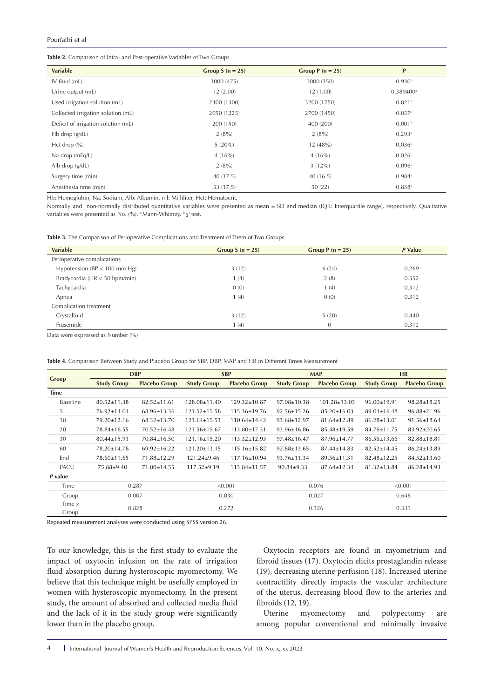**Table 2.** Comparison of Intra- and Post-operative Variables of Two Groups

| <b>Variable</b>                     | Group $S(n = 25)$ | Group $P(n = 25)$ | $\mathbf{P}$            |
|-------------------------------------|-------------------|-------------------|-------------------------|
| IV fluid (mL)                       | 1000 (475)        | 1000 (350)        | $0.930$ <sup>a</sup>    |
| Urine output (mL)                   | 12(2.00)          | 12(1.00)          | $0.389400$ <sup>a</sup> |
| Used irrigation solution (mL)       | 2300 (1300)       | 3200 (1750)       | $0.021$ <sup>a</sup>    |
| Collected irrigation solution (mL)  | 2050 (1225)       | 2700 (1450)       | 0.057a                  |
| Deficit of irrigation solution (mL) | 200 (150)         | 400 (200)         | 0.001 <sup>a</sup>      |
| $Hb$ drop $(g/dL)$                  | 2(8%)             | 2(8%)             | 0.293a                  |
| Hct drop $(\% )$                    | $5(20\%)$         | 12(48%)           | 0.036 <sup>b</sup>      |
| Na drop (mEq/L)                     | 4(16%)            | 4(16%)            | 0.026 <sup>b</sup>      |
| Alb drop $(g/dL)$                   | 2(8%)             | $3(12\%)$         | 0.096a                  |
| Surgery time (min)                  | 40 (17.5)         | 40(16.5)          | $0.984$ <sup>a</sup>    |
| Anesthesia time (min)               | 53 (17.5)         | 50(22)            | 0.838a                  |

Hb: Hemoglobin, Na: Sodium, Alb: Albumin, ml: Milliliter, Hct: Hematocrit.

Normally and non-normally distributed quantitative variables were presented as mean ± SD and median (IQR: Interquartile range), respectively. Qualitative variables were presented as No. (%). <sup>a</sup> Mann-Whitney,  $\frac{b}{x^2}$  test.

|  |  |  |  | Table 3. The Comparison of Perioperative Complications and Treatment of Them of Two Groups |  |  |  |
|--|--|--|--|--------------------------------------------------------------------------------------------|--|--|--|
|  |  |  |  |                                                                                            |  |  |  |

| <b>Variable</b>                  | Group $S(n = 25)$ | Group $P(n = 25)$ | P Value |
|----------------------------------|-------------------|-------------------|---------|
| Perioperative complications      |                   |                   |         |
| Hypotension ( $BP < 100$ mm Hg)  | 3(12)             | 6(24)             | 0.269   |
| Bradycardia ( $HR < 50$ bpm/min) | 1(4)              | 2(8)              | 0.552   |
| Tachycardia                      | 0(0)              | 1(4)              | 0.312   |
| Apnea                            | 1(4)              | 0(0)              | 0.312   |
| Complication treatment           |                   |                   |         |
| Crystalloid                      | 3(12)             | 5(20)             | 0.440   |
| Frusemide                        | 1(4)              | $\mathbf{0}$      | 0.312   |

Data were expressed as Number (%)

|               | <b>DBP</b>         |                      | <b>SBP</b>         |                      | <b>MAP</b>         |                      | <b>HR</b>          |                      |
|---------------|--------------------|----------------------|--------------------|----------------------|--------------------|----------------------|--------------------|----------------------|
| <b>Group</b>  | <b>Study Group</b> | <b>Placebo Group</b> | <b>Study Group</b> | <b>Placebo Group</b> | <b>Study Group</b> | <b>Placebo Group</b> | <b>Study Group</b> | <b>Placebo Group</b> |
|               |                    |                      |                    |                      |                    |                      |                    |                      |
| Time          |                    |                      |                    |                      |                    |                      |                    |                      |
| Baseline      | $80.52 + 11.38$    | $82.52 + 11.61$      | 128.08+11.40       | $129.32 + 10.87$     | $97.08 + 10.38$    | $101.28 + 13.03$     | $96.00 + 19.91$    | 98.28+18.25          |
| 5             | $76.92 \pm 14.04$  | $68.96 \pm 13.36$    | $121.52 \pm 15.58$ | $115.36 \pm 19.76$   | $92.56 \pm 15.26$  | $85.20 \pm 16.03$    | $89.04 \pm 16.48$  | $96.88 \pm 21.96$    |
| 10            | $79.20 \pm 12.16$  | $68.32 \pm 13.70$    | $121.64 \pm 15.53$ | $110.64 \pm 14.42$   | $93.68 \pm 12.97$  | $81.64 \pm 12.89$    | $86.28 \pm 13.01$  | $91.56 \pm 18.64$    |
| 20            | 78.84±16.55        | $70.52 \pm 16.48$    | 121.56±15.67       | $113.80 \pm 17.31$   | $93.96 \pm 16.86$  | $85.48 \pm 19.59$    | 84.76±11.75        | $83.92 \pm 20.65$    |
| 30            | $80.44 \pm 15.93$  | $70.84 \pm 16.50$    | $121.16 \pm 15.20$ | $113.32 \pm 12.93$   | $97.48 \pm 16.47$  | 87.96±14.77          | $86.56 \pm 13.66$  | $82.88 \pm 18.81$    |
| 60            | 78.20±14.76        | $69.92 \pm 16.22$    | $121.20 \pm 13.15$ | $115.16 \pm 15.82$   | $92.88 \pm 13.65$  | $87.44 \pm 14.83$    | $82.52 \pm 14.45$  | $86.24 \pm 13.89$    |
| End           | 78.60±11.65        | 71.88±12.29          | $121.24 \pm 9.46$  | $117.16 \pm 10.94$   | $93.76 \pm 11.34$  | $89.56 \pm 11.31$    | $82.48 \pm 12.25$  | $84.52 \pm 13.60$    |
| PACU          | $75.88 \pm 9.40$   | $71.00 \pm 14.55$    | $117.52 \pm 9.19$  | 113.84±11.57         | $90.84 \pm 9.33$   | $87.64 \pm 12.34$    | $81.32 \pm 13.84$  | $86.28 \pm 14.93$    |
| P value       |                    |                      |                    |                      |                    |                      |                    |                      |
| Time          | 0.287              |                      |                    | < 0.001              |                    | 0.076                | < 0.001            |                      |
| Group         | 0.007              |                      |                    | 0.030                | 0.027              |                      | 0.648              |                      |
| Time $\times$ | 0.828              |                      | 0.272              |                      | 0.326              |                      |                    |                      |
| Group         |                    |                      |                    |                      |                    |                      | 0.331              |                      |

**Table 4.** Comparison Between Study and Placebo Group for SBP, DBP, MAP and HR in Different Times Measurement

Repeated measurement analyses were conducted using SPSS version 26.

To our knowledge, this is the first study to evaluate the impact of oxytocin infusion on the rate of irrigation fluid absorption during hysteroscopic myomectomy. We believe that this technique might be usefully employed in women with hysteroscopic myomectomy. In the present study, the amount of absorbed and collected media fluid and the lack of it in the study group were significantly lower than in the placebo group**.**

Oxytocin receptors are found in myometrium and fibroid tissues (17). Oxytocin elicits prostaglandin release (19), decreasing uterine perfusion (18). Increased uterine contractility directly impacts the vascular architecture of the uterus, decreasing blood flow to the arteries and fibroids (12, 19).

Uterine myomectomy and polypectomy are among popular conventional and minimally invasive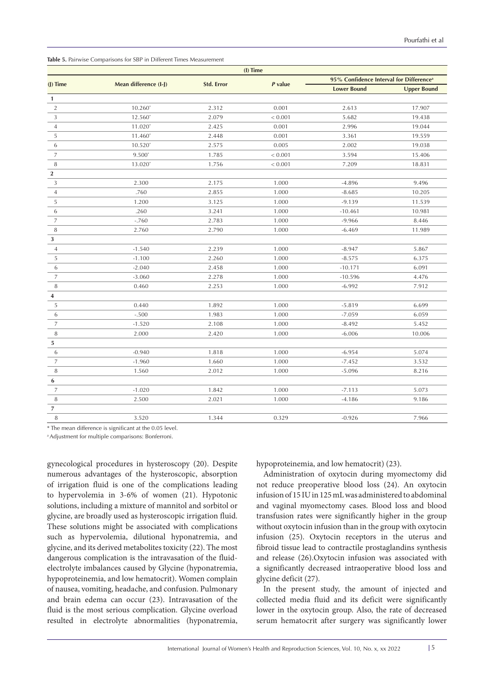| (I) Time       |                       |                   |         |                                                     |                    |  |  |
|----------------|-----------------------|-------------------|---------|-----------------------------------------------------|--------------------|--|--|
| $(I)$ Time     | Mean difference (I-J) | <b>Std. Error</b> | P value | 95% Confidence Interval for Difference <sup>a</sup> |                    |  |  |
|                |                       |                   |         | <b>Lower Bound</b>                                  | <b>Upper Bound</b> |  |  |
| $\mathbf{1}$   |                       |                   |         |                                                     |                    |  |  |
| $\sqrt{2}$     | $10.260*$             | 2.312             | 0.001   | 2.613                                               | 17.907             |  |  |
| 3              | $12.560*$             | 2.079             | < 0.001 | 5.682                                               | 19.438             |  |  |
| $\overline{4}$ | $11.020*$             | 2.425             | 0.001   | 2.996                                               | 19.044             |  |  |
| 5              | $11.460*$             | 2.448             | 0.001   | 3.361                                               | 19.559             |  |  |
| 6              | $10.520*$             | 2.575             | 0.005   | 2.002                                               | 19.038             |  |  |
| $\overline{7}$ | $9.500*$              | 1.785             | < 0.001 | 3.594                                               | 15.406             |  |  |
| 8              | $13.020*$             | 1.756             | < 0.001 | 7.209                                               | 18.831             |  |  |
| $\mathbf{2}$   |                       |                   |         |                                                     |                    |  |  |
| 3              | 2.300                 | 2.175             | 1.000   | $-4.896$                                            | 9.496              |  |  |
| $\overline{4}$ | .760                  | 2.855             | 1.000   | $-8.685$                                            | 10.205             |  |  |
| 5              | 1.200                 | 3.125             | 1.000   | $-9.139$                                            | 11.539             |  |  |
| 6              | .260                  | 3.241             | 1.000   | $-10.461$                                           | 10.981             |  |  |
| $\overline{7}$ | $-.760$               | 2.783             | 1.000   | $-9.966$                                            | 8.446              |  |  |
| 8              | 2.760                 | 2.790             | 1.000   | $-6.469$                                            | 11.989             |  |  |
| $\sqrt{3}$     |                       |                   |         |                                                     |                    |  |  |
| $\overline{4}$ | $-1.540$              | 2.239             | 1.000   | $-8.947$                                            | 5.867              |  |  |
| 5              | $-1.100$              | 2.260             | 1.000   | $-8.575$                                            | 6.375              |  |  |
| 6              | $-2.040$              | 2.458             | 1.000   | $-10.171$                                           | 6.091              |  |  |
| $\overline{7}$ | $-3.060$              | 2.278             | 1.000   | $-10.596$                                           | 4.476              |  |  |
| 8              | 0.460                 | 2.253             | 1.000   | $-6.992$                                            | 7.912              |  |  |
| 4              |                       |                   |         |                                                     |                    |  |  |
| 5              | 0.440                 | 1.892             | 1.000   | $-5.819$                                            | 6.699              |  |  |
| 6              | $-.500$               | 1.983             | 1.000   | $-7.059$                                            | 6.059              |  |  |
| $\overline{7}$ | $-1.520$              | 2.108             | 1.000   | $-8.492$                                            | 5.452              |  |  |
| 8              | 2.000                 | 2.420             | 1.000   | $-6.006$                                            | 10.006             |  |  |
| 5              |                       |                   |         |                                                     |                    |  |  |
| 6              | $-0.940$              | 1.818             | 1.000   | $-6.954$                                            | 5.074              |  |  |
| $\overline{7}$ | $-1.960$              | 1.660             | 1.000   | $-7.452$                                            | 3.532              |  |  |
| $\,$ 8 $\,$    | 1.560                 | 2.012             | 1.000   | $-5.096$                                            | 8.216              |  |  |
| 6              |                       |                   |         |                                                     |                    |  |  |
| $\overline{7}$ | $-1.020$              | 1.842             | 1.000   | $-7.113$                                            | 5.073              |  |  |
| 8              | 2.500                 | 2.021             | 1.000   | $-4.186$                                            | 9.186              |  |  |
| $\overline{7}$ |                       |                   |         |                                                     |                    |  |  |
| 8              | 3.520                 | 1.344             | 0.329   | $-0.926$                                            | 7.966              |  |  |

**Table 5.** Pairwise Comparisons for SBP in Different Times Measurement

\* The mean difference is significant at the 0.05 level.

a Adjustment for multiple comparisons: Bonferroni.

gynecological procedures in hysteroscopy (20). Despite numerous advantages of the hysteroscopic, absorption of irrigation fluid is one of the complications leading to hypervolemia in 3-6% of women (21). Hypotonic solutions, including a mixture of mannitol and sorbitol or glycine, are broadly used as hysteroscopic irrigation fluid. These solutions might be associated with complications such as hypervolemia, dilutional hyponatremia, and glycine, and its derived metabolites toxicity (22). The most dangerous complication is the intravasation of the fluidelectrolyte imbalances caused by Glycine (hyponatremia, hypoproteinemia, and low hematocrit). Women complain of nausea, vomiting, headache, and confusion. Pulmonary and brain edema can occur (23). Intravasation of the fluid is the most serious complication. Glycine overload resulted in electrolyte abnormalities (hyponatremia,

hypoproteinemia, and low hematocrit) (23).

Administration of oxytocin during myomectomy did not reduce preoperative blood loss (24). An oxytocin infusion of 15 IU in 125 mL was administered to abdominal and vaginal myomectomy cases. Blood loss and blood transfusion rates were significantly higher in the group without oxytocin infusion than in the group with oxytocin infusion (25). Oxytocin receptors in the uterus and fibroid tissue lead to contractile prostaglandins synthesis and release (26).Oxytocin infusion was associated with a significantly decreased intraoperative blood loss and glycine deficit (27).

In the present study, the amount of injected and collected media fluid and its deficit were significantly lower in the oxytocin group. Also, the rate of decreased serum hematocrit after surgery was significantly lower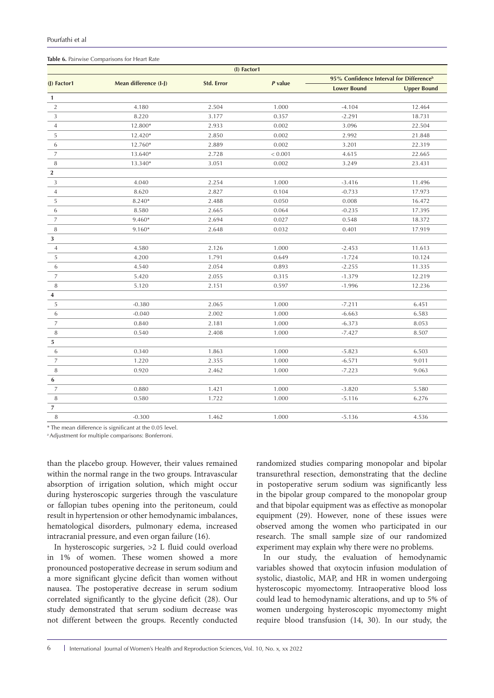## **Table 6.** Pairwise Comparisons for Heart Rate

| (I) Factor1      |                       |                   |         |                                                     |                    |  |
|------------------|-----------------------|-------------------|---------|-----------------------------------------------------|--------------------|--|
|                  |                       |                   |         | 95% Confidence Interval for Difference <sup>b</sup> |                    |  |
| (J) Factor1      | Mean difference (I-J) | <b>Std. Error</b> | P value | <b>Lower Bound</b>                                  | <b>Upper Bound</b> |  |
| $\mathbf{1}$     |                       |                   |         |                                                     |                    |  |
| $\overline{2}$   | 4.180                 | 2.504             | 1.000   | $-4.104$                                            | 12.464             |  |
| $\mathbf{3}$     | 8.220                 | 3.177             | 0.357   | $-2.291$                                            | 18.731             |  |
| $\overline{4}$   | 12.800*               | 2.933             | 0.002   | 3.096                                               | 22.504             |  |
| 5                | 12.420*               | 2.850             | 0.002   | 2.992                                               | 21.848             |  |
| 6                | 12.760*               | 2.889             | 0.002   | 3.201                                               | 22.319             |  |
| $\overline{7}$   | 13.640*               | 2.728             | < 0.001 | 4.615                                               | 22.665             |  |
| $\, 8$           | 13.340*               | 3.051             | 0.002   | 3.249                                               | 23.431             |  |
| $\boldsymbol{2}$ |                       |                   |         |                                                     |                    |  |
| $\mathfrak{Z}$   | 4.040                 | 2.254             | 1.000   | $-3.416$                                            | 11.496             |  |
| $\overline{4}$   | 8.620                 | 2.827             | 0.104   | $-0.733$                                            | 17.973             |  |
| 5                | 8.240*                | 2.488             | 0.050   | 0.008                                               | 16.472             |  |
| 6                | 8.580                 | 2.665             | 0.064   | $-0.235$                                            | 17.395             |  |
| $\overline{7}$   | 9.460*                | 2.694             | 0.027   | 0.548                                               | 18.372             |  |
| $\, 8$           | 9.160*                | 2.648             | 0.032   | 0.401                                               | 17.919             |  |
| 3                |                       |                   |         |                                                     |                    |  |
| $\overline{4}$   | 4.580                 | 2.126             | 1.000   | $-2.453$                                            | 11.613             |  |
| 5                | 4.200                 | 1.791             | 0.649   | $-1.724$                                            | 10.124             |  |
| 6                | 4.540                 | 2.054             | 0.893   | $-2.255$                                            | 11.335             |  |
| $\overline{7}$   | 5.420                 | 2.055             | 0.315   | $-1.379$                                            | 12.219             |  |
| 8                | 5.120                 | 2.151             | 0.597   | $-1.996$                                            | 12.236             |  |
| 4                |                       |                   |         |                                                     |                    |  |
| 5                | $-0.380$              | 2.065             | 1.000   | $-7.211$                                            | 6.451              |  |
| 6                | $-0.040$              | 2.002             | 1.000   | $-6.663$                                            | 6.583              |  |
| $\overline{7}$   | 0.840                 | 2.181             | 1.000   | $-6.373$                                            | 8.053              |  |
| $\, 8$           | 0.540                 | 2.408             | 1.000   | $-7.427$                                            | 8.507              |  |
| $\bf 5$          |                       |                   |         |                                                     |                    |  |
| 6                | 0.340                 | 1.863             | 1.000   | $-5.823$                                            | 6.503              |  |
| $\overline{7}$   | 1.220                 | 2.355             | 1.000   | $-6.571$                                            | 9.011              |  |
| 8                | 0.920                 | 2.462             | 1.000   | $-7.223$                                            | 9.063              |  |
| 6                |                       |                   |         |                                                     |                    |  |
| $\overline{7}$   | 0.880                 | 1.421             | 1.000   | $-3.820$                                            | 5.580              |  |
| 8                | 0.580                 | 1.722             | 1.000   | $-5.116$                                            | 6.276              |  |
| $\overline{7}$   |                       |                   |         |                                                     |                    |  |
| $\, 8$           | $-0.300$              | 1.462             | 1.000   | $-5.136$                                            | 4.536              |  |

\* The mean difference is significant at the 0.05 level.

a Adjustment for multiple comparisons: Bonferroni.

than the placebo group. However, their values remained within the normal range in the two groups. Intravascular absorption of irrigation solution, which might occur during hysteroscopic surgeries through the vasculature or fallopian tubes opening into the peritoneum, could result in hypertension or other hemodynamic imbalances, hematological disorders, pulmonary edema, increased intracranial pressure, and even organ failure (16).

In hysteroscopic surgeries, >2 L fluid could overload in 1% of women. These women showed a more pronounced postoperative decrease in serum sodium and a more significant glycine deficit than women without nausea. The postoperative decrease in serum sodium correlated significantly to the glycine deficit (28). Our study demonstrated that serum sodium decrease was not different between the groups. Recently conducted

randomized studies comparing monopolar and bipolar transurethral resection, demonstrating that the decline in postoperative serum sodium was significantly less in the bipolar group compared to the monopolar group and that bipolar equipment was as effective as monopolar equipment (29). However, none of these issues were observed among the women who participated in our research. The small sample size of our randomized experiment may explain why there were no problems.

In our study, the evaluation of hemodynamic variables showed that oxytocin infusion modulation of systolic, diastolic, MAP, and HR in women undergoing hysteroscopic myomectomy. Intraoperative blood loss could lead to hemodynamic alterations, and up to 5% of women undergoing hysteroscopic myomectomy might require blood transfusion (14, 30). In our study, the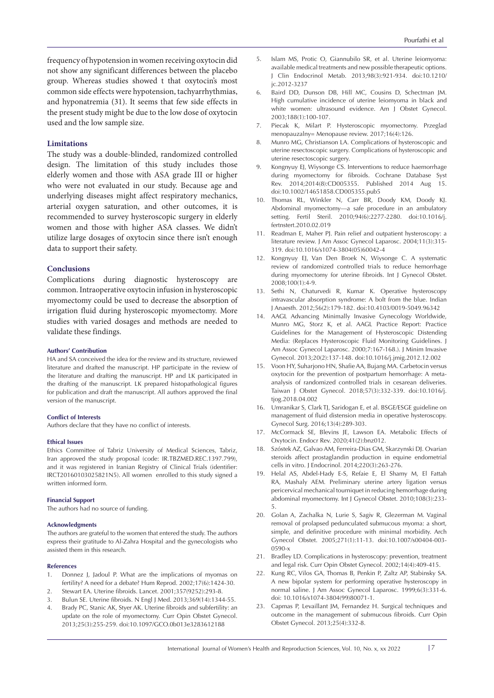frequency of hypotension inwomen receiving oxytocin did not show any significant differences between the placebo group. Whereas studies showed t that oxytocin's most common side effects were hypotension, tachyarrhythmias, and hyponatremia (31). It seems that few side effects in the present study might be due to the low dose of oxytocin used and the low sample size.

### **Limitations**

The study was a double-blinded, randomized controlled design. The limitation of this study includes those elderly women and those with ASA grade III or higher who were not evaluated in our study. Because age and underlying diseases might affect respiratory mechanics, arterial oxygen saturation, and other outcomes, it is recommended to survey hysteroscopic surgery in elderly women and those with higher ASA classes. We didn't utilize large dosages of oxytocin since there isn't enough data to support their safety.

# **Conclusions**

Complications during diagnostic hysteroscopy are common. Intraoperative oxytocin infusion in hysteroscopic myomectomy could be used to decrease the absorption of irrigation fluid during hysteroscopic myomectomy. More studies with varied dosages and methods are needed to validate these findings.

#### **Authors' Contribution**

HA and SA conceived the idea for the review and its structure, reviewed literature and drafted the manuscript. HP participate in the review of the literature and drafting the manuscript. HP and LK participated in the drafting of the manuscript. LK prepared histopathological figures for publication and draft the manuscript. All authors approved the final version of the manuscript.

#### **Conflict of Interests**

Authors declare that they have no conflict of interests.

#### **Ethical Issues**

Ethics Committee of Tabriz University of Medical Sciences, Tabriz, Iran approved the study proposal (code: IR.TBZMED.REC.1397.799), and it was registered in Iranian Registry of Clinical Trials (identifier: IRCT20160103025821N5). All women enrolled to this study signed a written informed form.

#### **Financial Support**

The authors had no source of funding.

#### **Acknowledgments**

The authors are grateful to the women that entered the study. The authors express their gratitude to Al-Zahra Hospital and the gynecologists who assisted them in this research.

#### **References**

- 1. Donnez J, Jadoul P. What are the implications of myomas on fertility? A need for a debate? Hum Reprod. 2002;17(6):1424-30.
- 2. Stewart EA. Uterine fibroids. Lancet. 2001;357(9252):293-8.
- 3. Bulun SE. Uterine fibroids. N Engl J Med. 2013;369(14):1344-55.
- 4. Brady PC, Stanic AK, Styer AK. Uterine fibroids and subfertility: an update on the role of myomectomy. Curr Opin Obstet Gynecol. 2013;25(3):255-259. doi:10.1097/GCO.0b013e3283612188
- 5. Islam MS, Protic O, Giannubilo SR, et al. Uterine leiomyoma: available medical treatments and new possible therapeutic options. J Clin Endocrinol Metab. 2013;98(3):921-934. doi:10.1210/ jc.2012-3237
- 6. Baird DD, Dunson DB, Hill MC, Cousins D, Schectman JM. High cumulative incidence of uterine leiomyoma in black and white women: ultrasound evidence. Am J Obstet Gynecol. 2003;188(1):100-107.
- 7. Piecak K, Milart P. Hysteroscopic myomectomy. Przeglad menopauzalny= Menopause review. 2017;16(4):126.
- 8. Munro MG, Christianson LA. Complications of hysteroscopic and uterine resectoscopic surgery. Complications of hysteroscopic and uterine resectoscopic surgery.
- 9. Kongnyuy EJ, Wiysonge CS. Interventions to reduce haemorrhage during myomectomy for fibroids. Cochrane Database Syst Rev. 2014;2014(8):CD005355. Published 2014 Aug 15. doi:10.1002/14651858.CD005355.pub5
- 10. Thomas RL, Winkler N, Carr BR, Doody KM, Doody KJ. Abdominal myomectomy—a safe procedure in an ambulatory setting. Fertil Steril. 2010;94(6):2277-2280. doi:10.1016/j. fertnstert.2010.02.019
- 11. Readman E, Maher PJ. Pain relief and outpatient hysteroscopy: a literature review. J Am Assoc Gynecol Laparosc. 2004;11(3):315- 319. doi:10.1016/s1074-3804(05)60042-4
- 12. Kongnyuy EJ, Van Den Broek N, Wiysonge C. A systematic review of randomized controlled trials to reduce hemorrhage during myomectomy for uterine fibroids. Int J Gynecol Obstet. 2008;100(1):4-9.
- 13. Sethi N, Chaturvedi R, Kumar K. Operative hysteroscopy intravascular absorption syndrome: A bolt from the blue. Indian J Anaesth. 2012;56(2):179-182. doi:10.4103/0019-5049.96342
- 14. AAGL Advancing Minimally Invasive Gynecology Worldwide, Munro MG, Storz K, et al. AAGL Practice Report: Practice Guidelines for the Management of Hysteroscopic Distending Media: (Replaces Hysteroscopic Fluid Monitoring Guidelines. J Am Assoc Gynecol Laparosc. 2000;7:167-168.). J Minim Invasive Gynecol. 2013;20(2):137-148. doi:10.1016/j.jmig.2012.12.002
- 15. Voon HY, Suharjono HN, Shafie AA, Bujang MA. Carbetocin versus oxytocin for the prevention of postpartum hemorrhage: A metaanalysis of randomized controlled trials in cesarean deliveries. Taiwan J Obstet Gynecol. 2018;57(3):332-339. doi:10.1016/j. tjog.2018.04.002
- 16. Umranikar S, Clark TJ, Saridogan E, et al. BSGE/ESGE guideline on management of fluid distension media in operative hysteroscopy. Gynecol Surg. 2016;13(4):289-303.
- 17. McCormack SE, Blevins JE, Lawson EA. Metabolic Effects of Oxytocin. Endocr Rev. 2020;41(2):bnz012.
- 18. Szóstek AZ, Galvao AM, Ferreira-Dias GM, Skarzynski DJ. Ovarian steroids affect prostaglandin production in equine endometrial cells in vitro. J Endocrinol. 2014;220(3):263-276.
- 19. Helal AS, Abdel-Hady E-S, Refaie E, El Shamy M, El Fattah RA, Mashaly AEM. Preliminary uterine artery ligation versus pericervical mechanical tourniquet in reducing hemorrhage during abdominal myomectomy. Int J Gynecol Obstet. 2010;108(3):233- 5.
- 20. Golan A, Zachalka N, Lurie S, Sagiv R, Glezerman M. Vaginal removal of prolapsed pedunculated submucous myoma: a short, simple, and definitive procedure with minimal morbidity. Arch Gynecol Obstet. 2005;271(1):11-13. doi:10.1007/s00404-003- 0590-x
- 21. Bradley LD. Complications in hysteroscopy: prevention, treatment and legal risk. Curr Opin Obstet Gynecol. 2002;14(4):409-415.
- 22. Kung RC, Vilos GA, Thomas B, Penkin P, Zaltz AP, Stabinsky SA. A new bipolar system for performing operative hysteroscopy in normal saline. J Am Assoc Gynecol Laparosc. 1999;6(3):331-6. doi: 10.1016/s1074-3804(99)80071-1.
- 23. Capmas P, Levaillant JM, Fernandez H. Surgical techniques and outcome in the management of submucous fibroids. Curr Opin Obstet Gynecol. 2013;25(4):332-8.